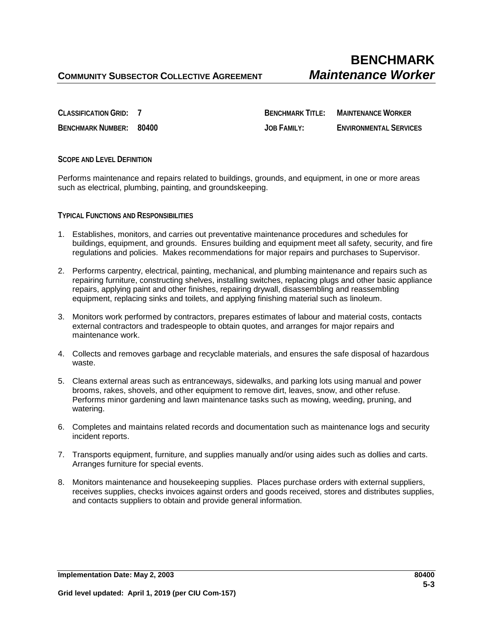**CLASSIFICATION GRID: 7 BENCHMARK TITLE: MAINTENANCE WORKER BENCHMARK NUMBER: 80400 JOB FAMILY: ENVIRONMENTAL SERVICES**

## **SCOPE AND LEVEL DEFINITION**

Performs maintenance and repairs related to buildings, grounds, and equipment, in one or more areas such as electrical, plumbing, painting, and groundskeeping.

#### **TYPICAL FUNCTIONS AND RESPONSIBILITIES**

- 1. Establishes, monitors, and carries out preventative maintenance procedures and schedules for buildings, equipment, and grounds. Ensures building and equipment meet all safety, security, and fire regulations and policies. Makes recommendations for major repairs and purchases to Supervisor.
- 2. Performs carpentry, electrical, painting, mechanical, and plumbing maintenance and repairs such as repairing furniture, constructing shelves, installing switches, replacing plugs and other basic appliance repairs, applying paint and other finishes, repairing drywall, disassembling and reassembling equipment, replacing sinks and toilets, and applying finishing material such as linoleum.
- 3. Monitors work performed by contractors, prepares estimates of labour and material costs, contacts external contractors and tradespeople to obtain quotes, and arranges for major repairs and maintenance work.
- 4. Collects and removes garbage and recyclable materials, and ensures the safe disposal of hazardous waste.
- 5. Cleans external areas such as entranceways, sidewalks, and parking lots using manual and power brooms, rakes, shovels, and other equipment to remove dirt, leaves, snow, and other refuse. Performs minor gardening and lawn maintenance tasks such as mowing, weeding, pruning, and watering.
- 6. Completes and maintains related records and documentation such as maintenance logs and security incident reports.
- 7. Transports equipment, furniture, and supplies manually and/or using aides such as dollies and carts. Arranges furniture for special events.
- 8. Monitors maintenance and housekeeping supplies. Places purchase orders with external suppliers, receives supplies, checks invoices against orders and goods received, stores and distributes supplies, and contacts suppliers to obtain and provide general information.